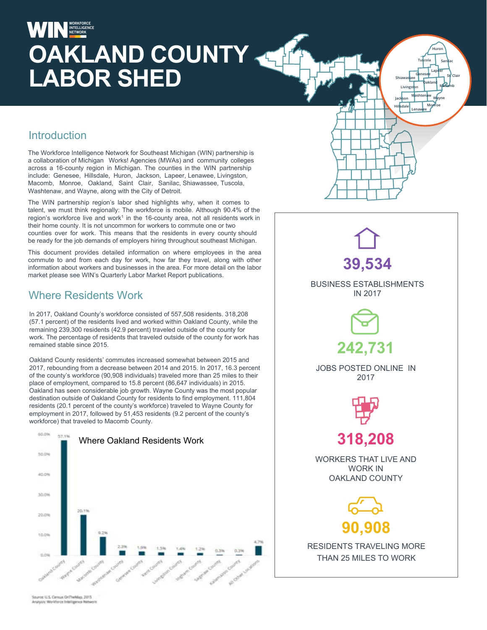# INTELLIGENCE **OAKLAND COUNTY**  LABOR SHED **SHED SHED**

### **Introduction**

The Workforce Intelligence Network for Southeast Michigan (WIN) partnership is a collaboration of Michigan Works! Agencies (MWAs) and community colleges across a 16-county region in Michigan. The counties in the WIN partnership include: Genesee, Hillsdale, Huron, Jackson, Lapeer, Lenawee, Livingston, Macomb, Monroe, Oakland, Saint Clair, Sanilac, Shiawassee, Tuscola, Washtenaw, and Wayne, along with the City of Detroit.

The WIN partnership region's labor shed highlights why, when it comes to talent, we must think regionally: The workforce is mobile. Although 90.4% of the region's workforce live and work<sup>1</sup> in the 16-county area, not all residents work in their home county. It is not uncommon for workers to commute one or two counties over for work. This means that the residents in every county should be ready for the job demands of employers hiring throughout southeast Michigan.

This document provides detailed information on where employees in the area commute to and from each day for work, how far they travel, along with other information about workers and businesses in the area. For more detail on the labor market please see WIN's Quarterly Labor Market Report publications.

### Where Residents Work

In 2017, Oakland County's workforce consisted of 557,508 residents. 318,208 (57.1 percent) of the residents lived and worked within Oakland County, while the remaining 239,300 residents (42.9 percent) traveled outside of the county for work. The percentage of residents that traveled outside of the county for work has remained stable since 2015.

Oakland County residents' commutes increased somewhat between 2015 and 2017, rebounding from a decrease between 2014 and 2015. In 2017, 16.3 percent of the county's workforce (90,908 individuals) traveled more than 25 miles to their place of employment, compared to 15.8 percent (86,647 individuals) in 2015. Oakland has seen considerable job growth. Wayne County was the most popular destination outside of Oakland County for residents to find employment. 111,804 residents (20.1 percent of the county's workforce) traveled to Wayne County for employment in 2017, followed by 51,453 residents (9.2 percent of the county's workforce) that traveled to Macomb County.





**Livingston**

**Jackson Hillsdale Lenawee**

**Oakland Macomb**

**Tuscola Sanilac Huron**

**Lapeer**

**Washtenaw Wayne Monroe**

uroc U.S. Census OriTheMap, 2015 Ananyvin: Worldforce Intelligence Net